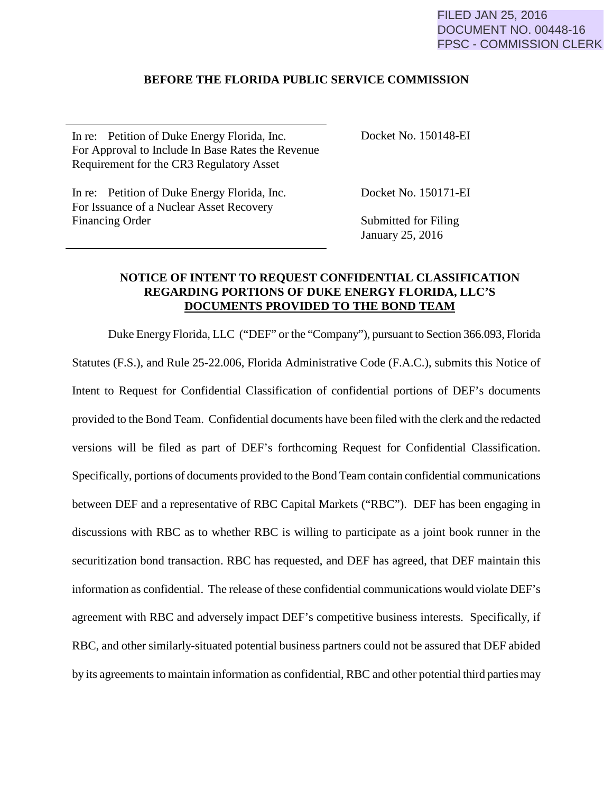## FILED JAN 25, 2016 DOCUMENT NO. 00448-16 FPSC - COMMISSION CLERK

## **BEFORE THE FLORIDA PUBLIC SERVICE COMMISSION**

In re: Petition of Duke Energy Florida, Inc. For Approval to Include In Base Rates the Revenue Requirement for the CR3 Regulatory Asset

Docket No. 150148-EI

In re: Petition of Duke Energy Florida, Inc. For Issuance of a Nuclear Asset Recovery Financing Order

Docket No. 150171-EI

Submitted for Filing January 25, 2016

## **NOTICE OF INTENT TO REQUEST CONFIDENTIAL CLASSIFICATION REGARDING PORTIONS OF DUKE ENERGY FLORIDA, LLC'S DOCUMENTS PROVIDED TO THE BOND TEAM**

Duke Energy Florida, LLC ("DEF" or the "Company"), pursuant to Section 366.093, Florida Statutes (F.S.), and Rule 25-22.006, Florida Administrative Code (F.A.C.), submits this Notice of Intent to Request for Confidential Classification of confidential portions of DEF's documents provided to the Bond Team. Confidential documents have been filed with the clerk and the redacted versions will be filed as part of DEF's forthcoming Request for Confidential Classification. Specifically, portions of documents provided to the Bond Team contain confidential communications between DEF and a representative of RBC Capital Markets ("RBC"). DEF has been engaging in discussions with RBC as to whether RBC is willing to participate as a joint book runner in the securitization bond transaction. RBC has requested, and DEF has agreed, that DEF maintain this information as confidential. The release of these confidential communications would violate DEF's agreement with RBC and adversely impact DEF's competitive business interests. Specifically, if RBC, and other similarly-situated potential business partners could not be assured that DEF abided by its agreements to maintain information as confidential, RBC and other potential third parties may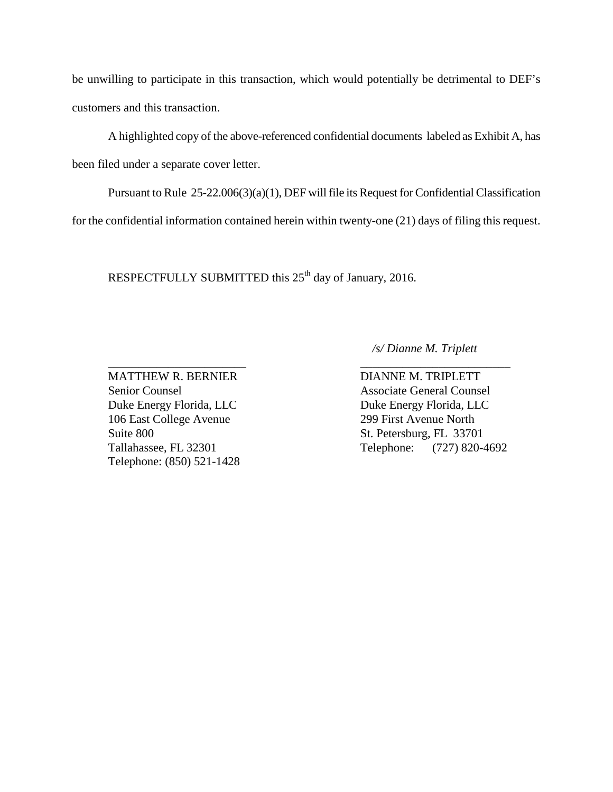be unwilling to participate in this transaction, which would potentially be detrimental to DEF's customers and this transaction.

A highlighted copy of the above-referenced confidential documents labeled as Exhibit A, has been filed under a separate cover letter.

 Pursuant to Rule 25-22.006(3)(a)(1), DEF will file its Request for Confidential Classification for the confidential information contained herein within twenty-one (21) days of filing this request.

\_\_\_\_\_\_\_\_\_\_\_\_\_\_\_\_\_\_\_\_\_\_\_ \_\_\_\_\_\_\_\_\_\_\_\_\_\_\_\_\_\_\_\_\_\_\_\_\_

RESPECTFULLY SUBMITTED this 25<sup>th</sup> day of January, 2016.

 */s/ Dianne M. Triplett*

Duke Energy Florida, LLC<br>Duke Energy Florida, LLC 106 East College Avenue 299 First Avenue North Suite 800 St. Petersburg, FL 33701 Telephone: (850) 521-1428

MATTHEW R. BERNIER DIANNE M. TRIPLETT Senior Counsel Associate General Counsel Tallahassee, FL 32301 Telephone: (727) 820-4692